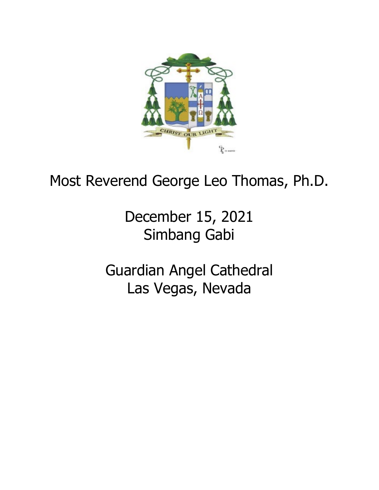

## Most Reverend George Leo Thomas, Ph.D.

December 15, 2021 Simbang Gabi

Guardian Angel Cathedral Las Vegas, Nevada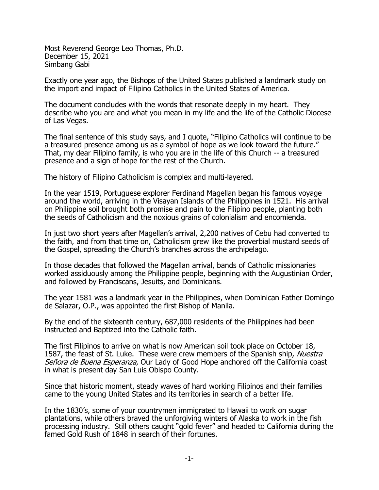Most Reverend George Leo Thomas, Ph.D. December 15, 2021 Simbang Gabi

Exactly one year ago, the Bishops of the United States published a landmark study on the import and impact of Filipino Catholics in the United States of America.

The document concludes with the words that resonate deeply in my heart. They describe who you are and what you mean in my life and the life of the Catholic Diocese of Las Vegas.

The final sentence of this study says, and I quote, "Filipino Catholics will continue to be a treasured presence among us as a symbol of hope as we look toward the future." That, my dear Filipino family, is who you are in the life of this Church -- a treasured presence and a sign of hope for the rest of the Church.

The history of Filipino Catholicism is complex and multi-layered.

In the year 1519, Portuguese explorer Ferdinand Magellan began his famous voyage around the world, arriving in the Visayan Islands of the Philippines in 1521. His arrival on Philippine soil brought both promise and pain to the Filipino people, planting both the seeds of Catholicism and the noxious grains of colonialism and encomienda.

In just two short years after Magellan's arrival, 2,200 natives of Cebu had converted to the faith, and from that time on, Catholicism grew like the proverbial mustard seeds of the Gospel, spreading the Church's branches across the archipelago.

In those decades that followed the Magellan arrival, bands of Catholic missionaries worked assiduously among the Philippine people, beginning with the Augustinian Order, and followed by Franciscans, Jesuits, and Dominicans.

The year 1581 was a landmark year in the Philippines, when Dominican Father Domingo de Salazar, O.P., was appointed the first Bishop of Manila.

By the end of the sixteenth century, 687,000 residents of the Philippines had been instructed and Baptized into the Catholic faith.

The first Filipinos to arrive on what is now American soil took place on October 18, 1587, the feast of St. Luke. These were crew members of the Spanish ship, Nuestra Señora de Buena Esperanza, Our Lady of Good Hope anchored off the California coast in what is present day San Luis Obispo County.

Since that historic moment, steady waves of hard working Filipinos and their families came to the young United States and its territories in search of a better life.

In the 1830's, some of your countrymen immigrated to Hawaii to work on sugar plantations, while others braved the unforgiving winters of Alaska to work in the fish processing industry. Still others caught "gold fever" and headed to California during the famed Gold Rush of 1848 in search of their fortunes.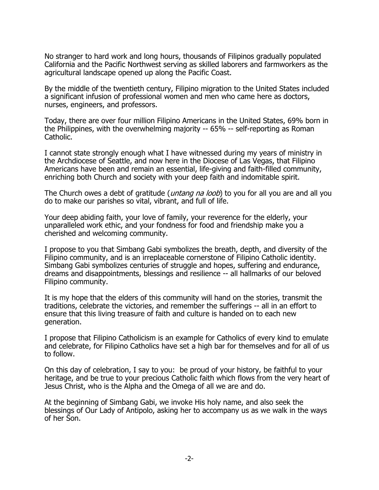No stranger to hard work and long hours, thousands of Filipinos gradually populated California and the Pacific Northwest serving as skilled laborers and farmworkers as the agricultural landscape opened up along the Pacific Coast.

By the middle of the twentieth century, Filipino migration to the United States included a significant infusion of professional women and men who came here as doctors, nurses, engineers, and professors.

Today, there are over four million Filipino Americans in the United States, 69% born in the Philippines, with the overwhelming majority -- 65% -- self-reporting as Roman Catholic.

I cannot state strongly enough what I have witnessed during my years of ministry in the Archdiocese of Seattle, and now here in the Diocese of Las Vegas, that Filipino Americans have been and remain an essential, life-giving and faith-filled community, enriching both Church and society with your deep faith and indomitable spirit.

The Church owes a debt of gratitude (*untang na loob*) to you for all you are and all you do to make our parishes so vital, vibrant, and full of life.

Your deep abiding faith, your love of family, your reverence for the elderly, your unparalleled work ethic, and your fondness for food and friendship make you a cherished and welcoming community.

I propose to you that Simbang Gabi symbolizes the breath, depth, and diversity of the Filipino community, and is an irreplaceable cornerstone of Filipino Catholic identity. Simbang Gabi symbolizes centuries of struggle and hopes, suffering and endurance, dreams and disappointments, blessings and resilience -- all hallmarks of our beloved Filipino community.

It is my hope that the elders of this community will hand on the stories, transmit the traditions, celebrate the victories, and remember the sufferings -- all in an effort to ensure that this living treasure of faith and culture is handed on to each new generation.

I propose that Filipino Catholicism is an example for Catholics of every kind to emulate and celebrate, for Filipino Catholics have set a high bar for themselves and for all of us to follow.

On this day of celebration, I say to you: be proud of your history, be faithful to your heritage, and be true to your precious Catholic faith which flows from the very heart of Jesus Christ, who is the Alpha and the Omega of all we are and do.

At the beginning of Simbang Gabi, we invoke His holy name, and also seek the blessings of Our Lady of Antipolo, asking her to accompany us as we walk in the ways of her Son.